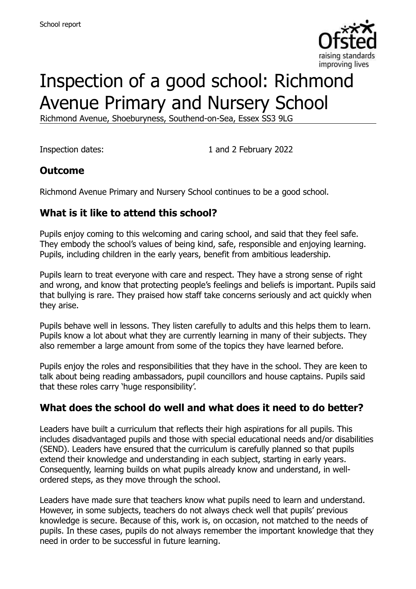

# Inspection of a good school: Richmond Avenue Primary and Nursery School

Richmond Avenue, Shoeburyness, Southend-on-Sea, Essex SS3 9LG

Inspection dates: 1 and 2 February 2022

#### **Outcome**

Richmond Avenue Primary and Nursery School continues to be a good school.

#### **What is it like to attend this school?**

Pupils enjoy coming to this welcoming and caring school, and said that they feel safe. They embody the school's values of being kind, safe, responsible and enjoying learning. Pupils, including children in the early years, benefit from ambitious leadership.

Pupils learn to treat everyone with care and respect. They have a strong sense of right and wrong, and know that protecting people's feelings and beliefs is important. Pupils said that bullying is rare. They praised how staff take concerns seriously and act quickly when they arise.

Pupils behave well in lessons. They listen carefully to adults and this helps them to learn. Pupils know a lot about what they are currently learning in many of their subjects. They also remember a large amount from some of the topics they have learned before.

Pupils enjoy the roles and responsibilities that they have in the school. They are keen to talk about being reading ambassadors, pupil councillors and house captains. Pupils said that these roles carry 'huge responsibility'.

# **What does the school do well and what does it need to do better?**

Leaders have built a curriculum that reflects their high aspirations for all pupils. This includes disadvantaged pupils and those with special educational needs and/or disabilities (SEND). Leaders have ensured that the curriculum is carefully planned so that pupils extend their knowledge and understanding in each subject, starting in early years. Consequently, learning builds on what pupils already know and understand, in wellordered steps, as they move through the school.

Leaders have made sure that teachers know what pupils need to learn and understand. However, in some subjects, teachers do not always check well that pupils' previous knowledge is secure. Because of this, work is, on occasion, not matched to the needs of pupils. In these cases, pupils do not always remember the important knowledge that they need in order to be successful in future learning.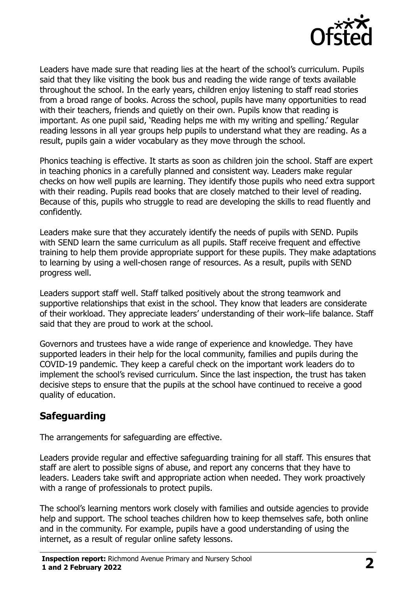

Leaders have made sure that reading lies at the heart of the school's curriculum. Pupils said that they like visiting the book bus and reading the wide range of texts available throughout the school. In the early years, children enjoy listening to staff read stories from a broad range of books. Across the school, pupils have many opportunities to read with their teachers, friends and quietly on their own. Pupils know that reading is important. As one pupil said, 'Reading helps me with my writing and spelling.' Regular reading lessons in all year groups help pupils to understand what they are reading. As a result, pupils gain a wider vocabulary as they move through the school.

Phonics teaching is effective. It starts as soon as children join the school. Staff are expert in teaching phonics in a carefully planned and consistent way. Leaders make regular checks on how well pupils are learning. They identify those pupils who need extra support with their reading. Pupils read books that are closely matched to their level of reading. Because of this, pupils who struggle to read are developing the skills to read fluently and confidently.

Leaders make sure that they accurately identify the needs of pupils with SEND. Pupils with SEND learn the same curriculum as all pupils. Staff receive frequent and effective training to help them provide appropriate support for these pupils. They make adaptations to learning by using a well-chosen range of resources. As a result, pupils with SEND progress well.

Leaders support staff well. Staff talked positively about the strong teamwork and supportive relationships that exist in the school. They know that leaders are considerate of their workload. They appreciate leaders' understanding of their work–life balance. Staff said that they are proud to work at the school.

Governors and trustees have a wide range of experience and knowledge. They have supported leaders in their help for the local community, families and pupils during the COVID-19 pandemic. They keep a careful check on the important work leaders do to implement the school's revised curriculum. Since the last inspection, the trust has taken decisive steps to ensure that the pupils at the school have continued to receive a good quality of education.

# **Safeguarding**

The arrangements for safeguarding are effective.

Leaders provide regular and effective safeguarding training for all staff. This ensures that staff are alert to possible signs of abuse, and report any concerns that they have to leaders. Leaders take swift and appropriate action when needed. They work proactively with a range of professionals to protect pupils.

The school's learning mentors work closely with families and outside agencies to provide help and support. The school teaches children how to keep themselves safe, both online and in the community. For example, pupils have a good understanding of using the internet, as a result of regular online safety lessons.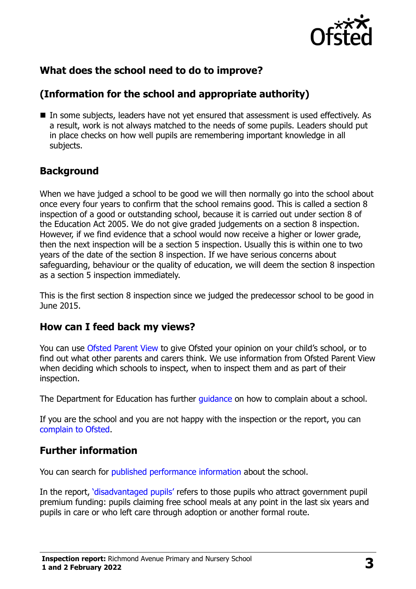

# **What does the school need to do to improve?**

# **(Information for the school and appropriate authority)**

■ In some subjects, leaders have not yet ensured that assessment is used effectively. As a result, work is not always matched to the needs of some pupils. Leaders should put in place checks on how well pupils are remembering important knowledge in all subjects.

# **Background**

When we have judged a school to be good we will then normally go into the school about once every four years to confirm that the school remains good. This is called a section 8 inspection of a good or outstanding school, because it is carried out under section 8 of the Education Act 2005. We do not give graded judgements on a section 8 inspection. However, if we find evidence that a school would now receive a higher or lower grade, then the next inspection will be a section 5 inspection. Usually this is within one to two years of the date of the section 8 inspection. If we have serious concerns about safeguarding, behaviour or the quality of education, we will deem the section 8 inspection as a section 5 inspection immediately.

This is the first section 8 inspection since we judged the predecessor school to be good in June 2015.

#### **How can I feed back my views?**

You can use [Ofsted Parent View](https://parentview.ofsted.gov.uk/) to give Ofsted your opinion on your child's school, or to find out what other parents and carers think. We use information from Ofsted Parent View when deciding which schools to inspect, when to inspect them and as part of their inspection.

The Department for Education has further quidance on how to complain about a school.

If you are the school and you are not happy with the inspection or the report, you can [complain to Ofsted.](https://www.gov.uk/complain-ofsted-report)

#### **Further information**

You can search for [published performance information](http://www.compare-school-performance.service.gov.uk/) about the school.

In the report, '[disadvantaged pupils](http://www.gov.uk/guidance/pupil-premium-information-for-schools-and-alternative-provision-settings)' refers to those pupils who attract government pupil premium funding: pupils claiming free school meals at any point in the last six years and pupils in care or who left care through adoption or another formal route.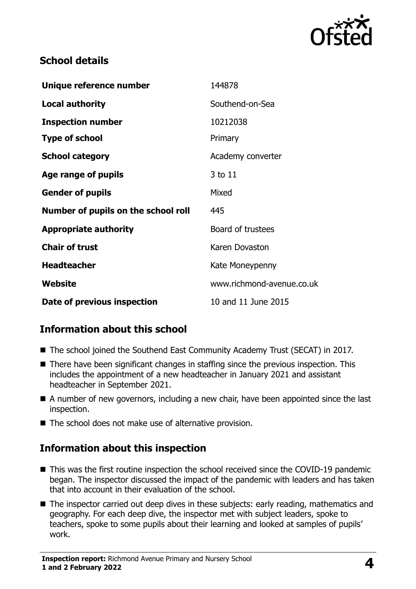

#### **School details**

| Unique reference number             | 144878                    |
|-------------------------------------|---------------------------|
| <b>Local authority</b>              | Southend-on-Sea           |
| <b>Inspection number</b>            | 10212038                  |
| <b>Type of school</b>               | Primary                   |
| <b>School category</b>              | Academy converter         |
| Age range of pupils                 | 3 to 11                   |
| <b>Gender of pupils</b>             | Mixed                     |
| Number of pupils on the school roll | 445                       |
| <b>Appropriate authority</b>        | Board of trustees         |
| <b>Chair of trust</b>               | Karen Dovaston            |
| <b>Headteacher</b>                  | Kate Moneypenny           |
| Website                             | www.richmond-avenue.co.uk |
| Date of previous inspection         | 10 and 11 June 2015       |

# **Information about this school**

- The school joined the Southend East Community Academy Trust (SECAT) in 2017.
- There have been significant changes in staffing since the previous inspection. This includes the appointment of a new headteacher in January 2021 and assistant headteacher in September 2021.
- A number of new governors, including a new chair, have been appointed since the last inspection.
- The school does not make use of alternative provision.

# **Information about this inspection**

- This was the first routine inspection the school received since the COVID-19 pandemic began. The inspector discussed the impact of the pandemic with leaders and has taken that into account in their evaluation of the school.
- The inspector carried out deep dives in these subjects: early reading, mathematics and geography. For each deep dive, the inspector met with subject leaders, spoke to teachers, spoke to some pupils about their learning and looked at samples of pupils' work.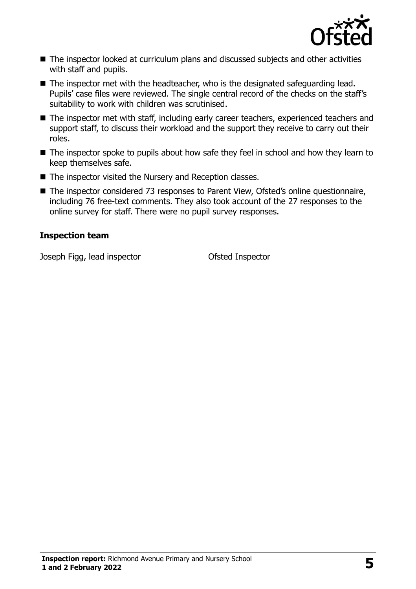

- The inspector looked at curriculum plans and discussed subjects and other activities with staff and pupils.
- The inspector met with the headteacher, who is the designated safeguarding lead. Pupils' case files were reviewed. The single central record of the checks on the staff's suitability to work with children was scrutinised.
- The inspector met with staff, including early career teachers, experienced teachers and support staff, to discuss their workload and the support they receive to carry out their roles.
- The inspector spoke to pupils about how safe they feel in school and how they learn to keep themselves safe.
- The inspector visited the Nursery and Reception classes.
- The inspector considered 73 responses to Parent View, Ofsted's online questionnaire, including 76 free-text comments. They also took account of the 27 responses to the online survey for staff. There were no pupil survey responses.

#### **Inspection team**

Joseph Figg, lead inspector Ofsted Inspector